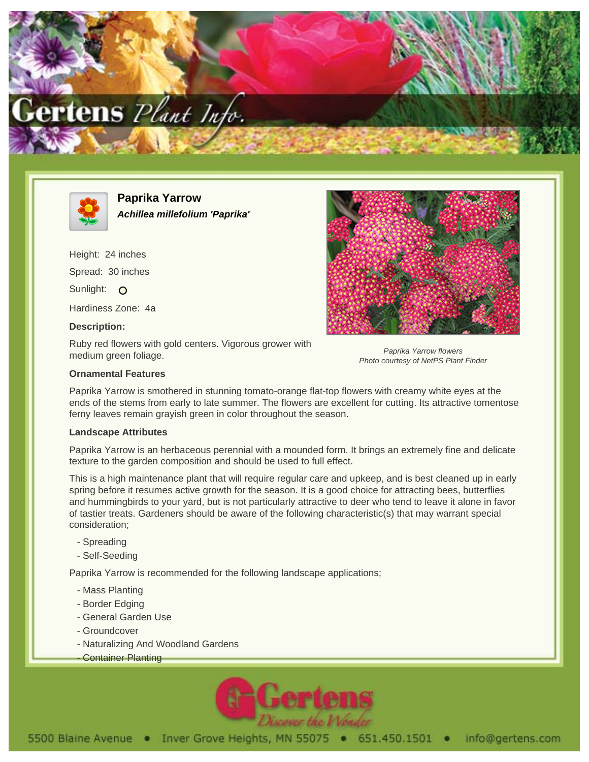



**Paprika Yarrow Achillea millefolium 'Paprika'**

Height: 24 inches Spread: 30 inches Sunlight: O Hardiness Zone: 4a **Description:**

Ruby red flowers with gold centers. Vigorous grower with medium green foliage.



Paprika Yarrow flowers Photo courtesy of NetPS Plant Finder

## **Ornamental Features**

Paprika Yarrow is smothered in stunning tomato-orange flat-top flowers with creamy white eyes at the ends of the stems from early to late summer. The flowers are excellent for cutting. Its attractive tomentose ferny leaves remain grayish green in color throughout the season.

## **Landscape Attributes**

Paprika Yarrow is an herbaceous perennial with a mounded form. It brings an extremely fine and delicate texture to the garden composition and should be used to full effect.

This is a high maintenance plant that will require regular care and upkeep, and is best cleaned up in early spring before it resumes active growth for the season. It is a good choice for attracting bees, butterflies and hummingbirds to your yard, but is not particularly attractive to deer who tend to leave it alone in favor of tastier treats. Gardeners should be aware of the following characteristic(s) that may warrant special consideration;

- Spreading
- Self-Seeding

Paprika Yarrow is recommended for the following landscape applications;

- Mass Planting
- Border Edging
- General Garden Use
- Groundcover
- Naturalizing And Woodland Gardens
- **Container Planting**